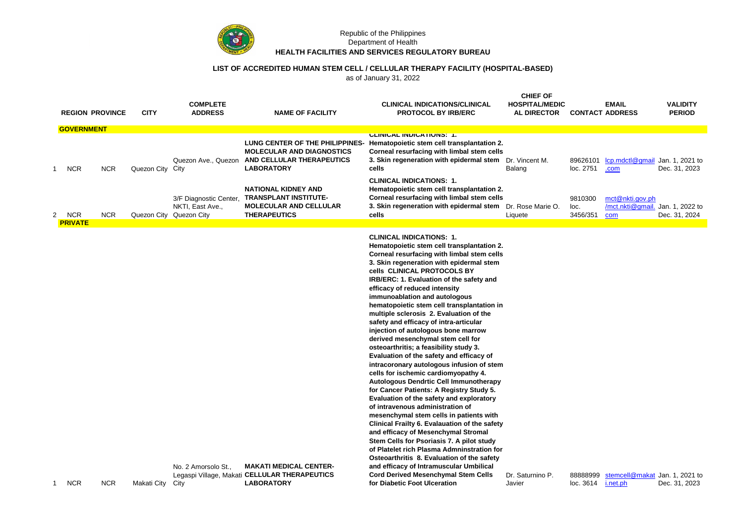

## Republic of the Philippines Department of Health **HEALTH FACILITIES AND SERVICES REGULATORY BUREAU**

## **LIST OF ACCREDITED HUMAN STEM CELL / CELLULAR THERAPY FACILITY (HOSPITAL-BASED)**

as of January 31, 2022

|   |                            | <b>REGION PROVINCE</b> | <b>CITY</b>      | <b>COMPLETE</b><br><b>ADDRESS</b>                                     | <b>NAME OF FACILITY</b>                                                                                               | <b>CLINICAL INDICATIONS/CLINICAL</b><br><b>PROTOCOL BY IRB/ERC</b>                                                                                                                                                                                                                                                                                                                                                                                                                                                                                                                                                                                                                                                                                                                                                                                                                                                                                                                                                                                                                                                                                                      | <b>CHIEF OF</b><br><b>HOSPITAL/MEDIC</b><br><b>AL DIRECTOR</b> | <b>CONTACT ADDRESS</b>      | <b>EMAIL</b>                               | VALIDITY<br><b>PERIOD</b>        |
|---|----------------------------|------------------------|------------------|-----------------------------------------------------------------------|-----------------------------------------------------------------------------------------------------------------------|-------------------------------------------------------------------------------------------------------------------------------------------------------------------------------------------------------------------------------------------------------------------------------------------------------------------------------------------------------------------------------------------------------------------------------------------------------------------------------------------------------------------------------------------------------------------------------------------------------------------------------------------------------------------------------------------------------------------------------------------------------------------------------------------------------------------------------------------------------------------------------------------------------------------------------------------------------------------------------------------------------------------------------------------------------------------------------------------------------------------------------------------------------------------------|----------------------------------------------------------------|-----------------------------|--------------------------------------------|----------------------------------|
|   | <b>GOVERNMENT</b>          |                        |                  |                                                                       |                                                                                                                       |                                                                                                                                                                                                                                                                                                                                                                                                                                                                                                                                                                                                                                                                                                                                                                                                                                                                                                                                                                                                                                                                                                                                                                         |                                                                |                             |                                            |                                  |
|   | <b>NCR</b><br>$\mathbf{1}$ | <b>NCR</b>             | Quezon City City | Quezon Ave., Quezon                                                   | LUNG CENTER OF THE PHILIPPINES-<br><b>MOLECULAR AND DIAGNOSTICS</b><br>AND CELLULAR THERAPEUTICS<br><b>LABORATORY</b> | <b>ULINIUAL INDIUATIONS: 1.</b><br>Hematopoietic stem cell transplantation 2.<br>Corneal resurfacing with limbal stem cells<br>3. Skin regeneration with epidermal stem Dr. Vincent M.<br>cells                                                                                                                                                                                                                                                                                                                                                                                                                                                                                                                                                                                                                                                                                                                                                                                                                                                                                                                                                                         | Balang                                                         | 89626101<br>loc. 2751       | lcp.mdctl@gmail Jan. 1, 2021 to<br>.com    | Dec. 31, 2023                    |
|   | <b>NCR</b><br>2            | <b>NCR</b>             |                  | 3/F Diagnostic Center,<br>NKTI, East Ave.,<br>Quezon City Quezon City | <b>NATIONAL KIDNEY AND</b><br><b>TRANSPLANT INSTITUTE-</b><br><b>MOLECULAR AND CELLULAR</b><br><b>THERAPEUTICS</b>    | <b>CLINICAL INDICATIONS: 1.</b><br>Hematopoietic stem cell transplantation 2.<br>Corneal resurfacing with limbal stem cells<br>3. Skin regeneration with epidermal stem<br>cells                                                                                                                                                                                                                                                                                                                                                                                                                                                                                                                                                                                                                                                                                                                                                                                                                                                                                                                                                                                        | Dr. Rose Marie O.<br>Liquete                                   | 9810300<br>loc.<br>3456/351 | mct@nkti.gov.ph<br>/mct.nkti@gmail.<br>com | Jan. 1, 2022 to<br>Dec. 31, 2024 |
|   | <b>PRIVATE</b>             |                        |                  |                                                                       |                                                                                                                       |                                                                                                                                                                                                                                                                                                                                                                                                                                                                                                                                                                                                                                                                                                                                                                                                                                                                                                                                                                                                                                                                                                                                                                         |                                                                |                             |                                            |                                  |
|   |                            |                        |                  |                                                                       |                                                                                                                       | <b>CLINICAL INDICATIONS: 1.</b><br>Hematopoietic stem cell transplantation 2.<br>Corneal resurfacing with limbal stem cells<br>3. Skin regeneration with epidermal stem<br>cells CLINICAL PROTOCOLS BY<br>IRB/ERC: 1. Evaluation of the safety and<br>efficacy of reduced intensity<br>immunoablation and autologous<br>hematopoietic stem cell transplantation in<br>multiple sclerosis 2. Evaluation of the<br>safety and efficacy of intra-articular<br>injection of autologous bone marrow<br>derived mesenchymal stem cell for<br>osteoarthritis; a feasibility study 3.<br>Evaluation of the safety and efficacy of<br>intracoronary autologous infusion of stem<br>cells for ischemic cardiomyopathy 4.<br><b>Autologous Dendrtic Cell Immunotherapy</b><br>for Cancer Patients: A Registry Study 5.<br>Evaluation of the safety and exploratory<br>of intravenous administration of<br>mesenchymal stem cells in patients with<br>Clinical Frailty 6. Evalauation of the safety<br>and efficacy of Mesenchymal Stromal<br>Stem Cells for Psoriasis 7. A pilot study<br>of Platelet rich Plasma Admninstration for<br>Osteoarthritis 8. Evaluation of the safety |                                                                |                             |                                            |                                  |
| 1 | <b>NCR</b>                 | <b>NCR</b>             | Makati City City | No. 2 Amorsolo St.,                                                   | <b>MAKATI MEDICAL CENTER-</b><br>Legaspi Village, Makati CELLULAR THERAPEUTICS<br><b>LABORATORY</b>                   | and efficacy of Intramuscular Umbilical<br><b>Cord Derived Mesenchymal Stem Cells</b><br>for Diabetic Foot Ulceration                                                                                                                                                                                                                                                                                                                                                                                                                                                                                                                                                                                                                                                                                                                                                                                                                                                                                                                                                                                                                                                   | Dr. Saturnino P.<br>Javier                                     | 88888999<br>loc. 3614       | stemcell@makat_Jan. 1, 2021 to<br>i.net.ph | Dec. 31, 2023                    |